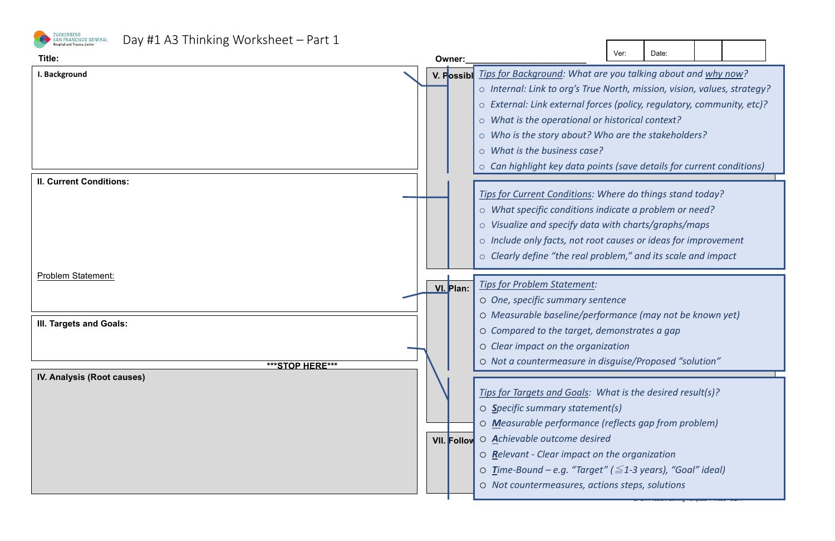



| Ver:                                                                                                                                                                        | Date: |  |  |  |  |
|-----------------------------------------------------------------------------------------------------------------------------------------------------------------------------|-------|--|--|--|--|
| you talking about and <u>why now</u> ?<br>orth, mission, vision, values, strategy?<br>(policy, regulatory, community, etc)?<br>storical context?<br>o are the stakeholders? |       |  |  |  |  |
| (save details for current conditions)                                                                                                                                       |       |  |  |  |  |
| ere do things stand today?<br>cate a problem or need?<br>th charts/graphs/maps<br>auses or ideas for improvement<br>'em," and its scale and impact                          |       |  |  |  |  |
| nce<br>nance (may not be known yet)                                                                                                                                         |       |  |  |  |  |

SFGH Problem Solving Template Printed - 8/2/17